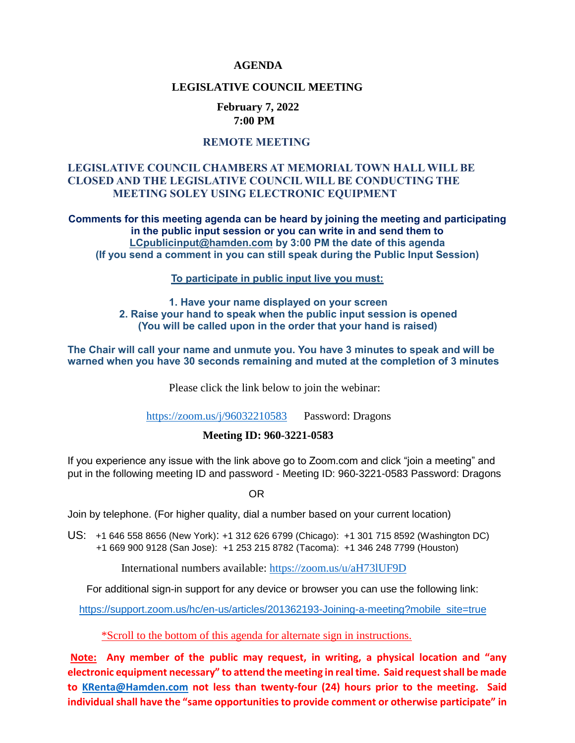#### **AGENDA**

#### **LEGISLATIVE COUNCIL MEETING**

### **February 7, 2022 7:00 PM**

#### **REMOTE MEETING**

### **LEGISLATIVE COUNCIL CHAMBERS AT MEMORIAL TOWN HALL WILL BE CLOSED AND THE LEGISLATIVE COUNCIL WILL BE CONDUCTING THE MEETING SOLEY USING ELECTRONIC EQUIPMENT**

**Comments for this meeting agenda can be heard by joining the meeting and participating in the public input session or you can write in and send them to [LCpublicinput@hamden.com](mailto:LCpublicinput@hamden.com) by 3:00 PM the date of this agenda (If you send a comment in you can still speak during the Public Input Session)**

 **To participate in public input live you must:** 

#### **1. Have your name displayed on your screen 2. Raise your hand to speak when the public input session is opened (You will be called upon in the order that your hand is raised)**

**The Chair will call your name and unmute you. You have 3 minutes to speak and will be warned when you have 30 seconds remaining and muted at the completion of 3 minutes**

Please click the link below to join the webinar:

<https://zoom.us/j/96032210583>Password: Dragons

#### **Meeting ID: 960-3221-0583**

If you experience any issue with the link above go to Zoom.com and click "join a meeting" and put in the following meeting ID and password - Meeting ID: 960-3221-0583 Password: Dragons

OR

Join by telephone. (For higher quality, dial a number based on your current location)

US: [+1 646 558 8656 \(New York\)](tel:+16465588656): [+1 312 626 6799 \(Chicago\):](tel:+13126266799) [+1 301 715 8592 \(Washington DC\)](tel:+13017158592) +1 669 900 9128 (San Jose): [+1 253 215 8782 \(Tacoma\):](tel:+12532158782) [+1 346 248 7799 \(Houston\)](tel:+13462487799)

International numbers available:<https://zoom.us/u/aH73lUF9D>

For additional sign-in support for any device or browser you can use the following link:

[https://support.zoom.us/hc/en-us/articles/201362193-Joining-a-meeting?mobile\\_site=true](https://support.zoom.us/hc/en-us/articles/201362193-Joining-a-meeting?mobile_site=true)

\*Scroll to the bottom of this agenda for alternate sign in instructions.

**Note: Any member of the public may request, in writing, a physical location and "any electronic equipment necessary" to attend the meeting in real time. Said request shall be made to [KRenta@Hamden.com](mailto:KRenta@Hamden.com) not less than twenty-four (24) hours prior to the meeting. Said individual shall have the "same opportunities to provide comment or otherwise participate" in**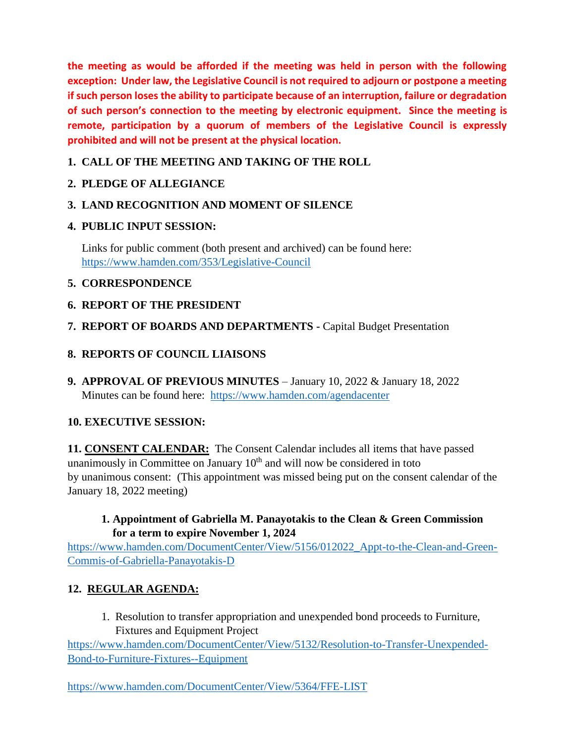**the meeting as would be afforded if the meeting was held in person with the following exception: Under law, the Legislative Council is not required to adjourn or postpone a meeting if such person loses the ability to participate because of an interruption, failure or degradation of such person's connection to the meeting by electronic equipment. Since the meeting is remote, participation by a quorum of members of the Legislative Council is expressly prohibited and will not be present at the physical location.**

# **1. CALL OF THE MEETING AND TAKING OF THE ROLL**

# **2. PLEDGE OF ALLEGIANCE**

# **3. LAND RECOGNITION AND MOMENT OF SILENCE**

# **4. PUBLIC INPUT SESSION:**

Links for public comment (both present and archived) can be found here: <https://www.hamden.com/353/Legislative-Council>

# **5. CORRESPONDENCE**

# **6. REPORT OF THE PRESIDENT**

# **7. REPORT OF BOARDS AND DEPARTMENTS -** Capital Budget Presentation

# **8. REPORTS OF COUNCIL LIAISONS**

**9. APPROVAL OF PREVIOUS MINUTES** – January 10, 2022 & January 18, 2022 Minutes can be found here: <https://www.hamden.com/agendacenter>

# **10. EXECUTIVE SESSION:**

**11. CONSENT CALENDAR:** The Consent Calendar includes all items that have passed unanimously in Committee on January  $10<sup>th</sup>$  and will now be considered in toto by unanimous consent: (This appointment was missed being put on the consent calendar of the January 18, 2022 meeting)

# **1. Appointment of Gabriella M. Panayotakis to the Clean & Green Commission for a term to expire November 1, 2024**

[https://www.hamden.com/DocumentCenter/View/5156/012022\\_Appt-to-the-Clean-and-Green-](https://www.hamden.com/DocumentCenter/View/5156/012022_Appt-to-the-Clean-and-Green-Commis-of-Gabriella-Panayotakis-D)[Commis-of-Gabriella-Panayotakis-D](https://www.hamden.com/DocumentCenter/View/5156/012022_Appt-to-the-Clean-and-Green-Commis-of-Gabriella-Panayotakis-D)

# **12. REGULAR AGENDA:**

1. Resolution to transfer appropriation and unexpended bond proceeds to Furniture, Fixtures and Equipment Project

[https://www.hamden.com/DocumentCenter/View/5132/Resolution-to-Transfer-Unexpended-](https://www.hamden.com/DocumentCenter/View/5132/Resolution-to-Transfer-Unexpended-Bond-to-Furniture-Fixtures--Equipment)[Bond-to-Furniture-Fixtures--Equipment](https://www.hamden.com/DocumentCenter/View/5132/Resolution-to-Transfer-Unexpended-Bond-to-Furniture-Fixtures--Equipment)

https://www.hamden.com/DocumentCenter/View/5364/FFE-LIST